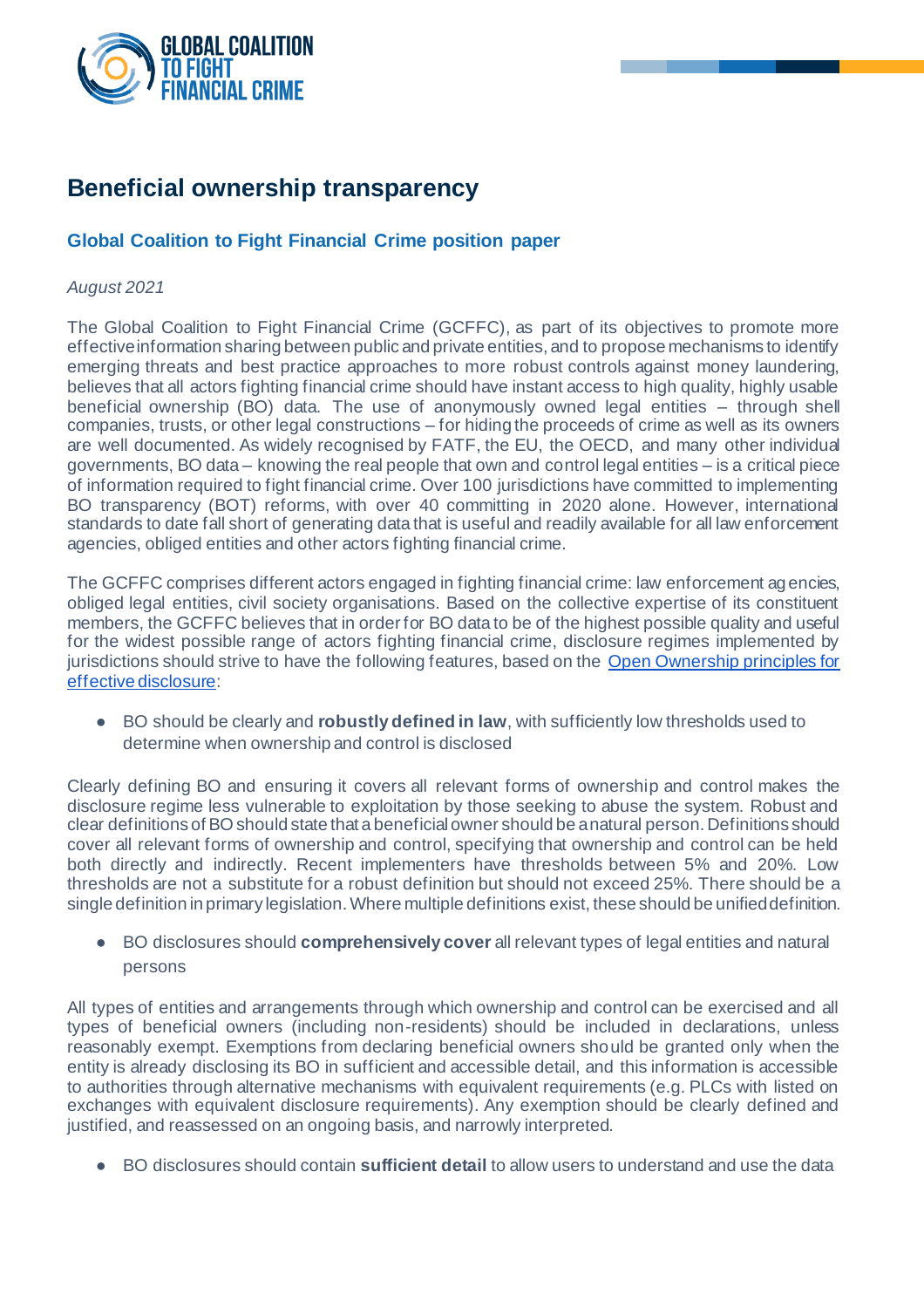

# **Beneficial ownership transparency**

# **Global Coalition to Fight Financial Crime position paper**

#### *August 2021*

The Global Coalition to Fight Financial Crime (GCFFC), as part of its objectives to promote more effective information sharing between public and private entities, and to propose mechanisms to identify emerging threats and best practice approaches to more robust controls against money laundering, believes that all actors fighting financial crime should have instant access to high quality, highly usable beneficial ownership (BO) data. The use of anonymously owned legal entities – through shell companies, trusts, or other legal constructions – for hiding the proceeds of crime as well as its owners are well documented. As widely recognised by FATF, the EU, the OECD, and many other individual governments, BO data – knowing the real people that own and control legal entities – is a critical piece of information required to fight financial crime. Over 100 jurisdictions have committed to implementing BO transparency (BOT) reforms, with over 40 committing in 2020 alone. However, international standards to date fall short of generating data that is useful and readily available for all law enforcement agencies, obliged entities and other actors fighting financial crime.

The GCFFC comprises different actors engaged in fighting financial crime: law enforcement agencies, obliged legal entities, civil society organisations. Based on the collective expertise of its constituent members, the GCFFC believes that in order for BO data to be of the highest possible quality and useful for the widest possible range of actors fighting financial crime, disclosure regimes implemented by jurisdictions should strive to have the following features, based on the [Open Ownership principles for](https://www.openownership.org/principles/)  [effective disclosure](https://www.openownership.org/principles/):

● BO should be clearly and **robustly defined in law**, with sufficiently low thresholds used to determine when ownership and control is disclosed

Clearly defining BO and ensuring it covers all relevant forms of ownership and control makes the disclosure regime less vulnerable to exploitation by those seeking to abuse the system. Robust and clear definitions of BO should state that a beneficial owner should be a natural person. Definitions should cover all relevant forms of ownership and control, specifying that ownership and control can be held both directly and indirectly. Recent implementers have thresholds between 5% and 20%. Low thresholds are not a substitute for a robust definition but should not exceed 25%. There should be a single definition in primary legislation. Where multiple definitions exist, these should be unified definition.

● BO disclosures should **comprehensively cover** all relevant types of legal entities and natural persons

All types of entities and arrangements through which ownership and control can be exercised and all types of beneficial owners (including non-residents) should be included in declarations, unless reasonably exempt. Exemptions from declaring beneficial owners should be granted only when the entity is already disclosing its BO in sufficient and accessible detail, and this information is accessible to authorities through alternative mechanisms with equivalent requirements (e.g. PLCs with listed on exchanges with equivalent disclosure requirements). Any exemption should be clearly defined and justified, and reassessed on an ongoing basis, and narrowly interpreted.

● BO disclosures should contain **sufficient detail** to allow users to understand and use the data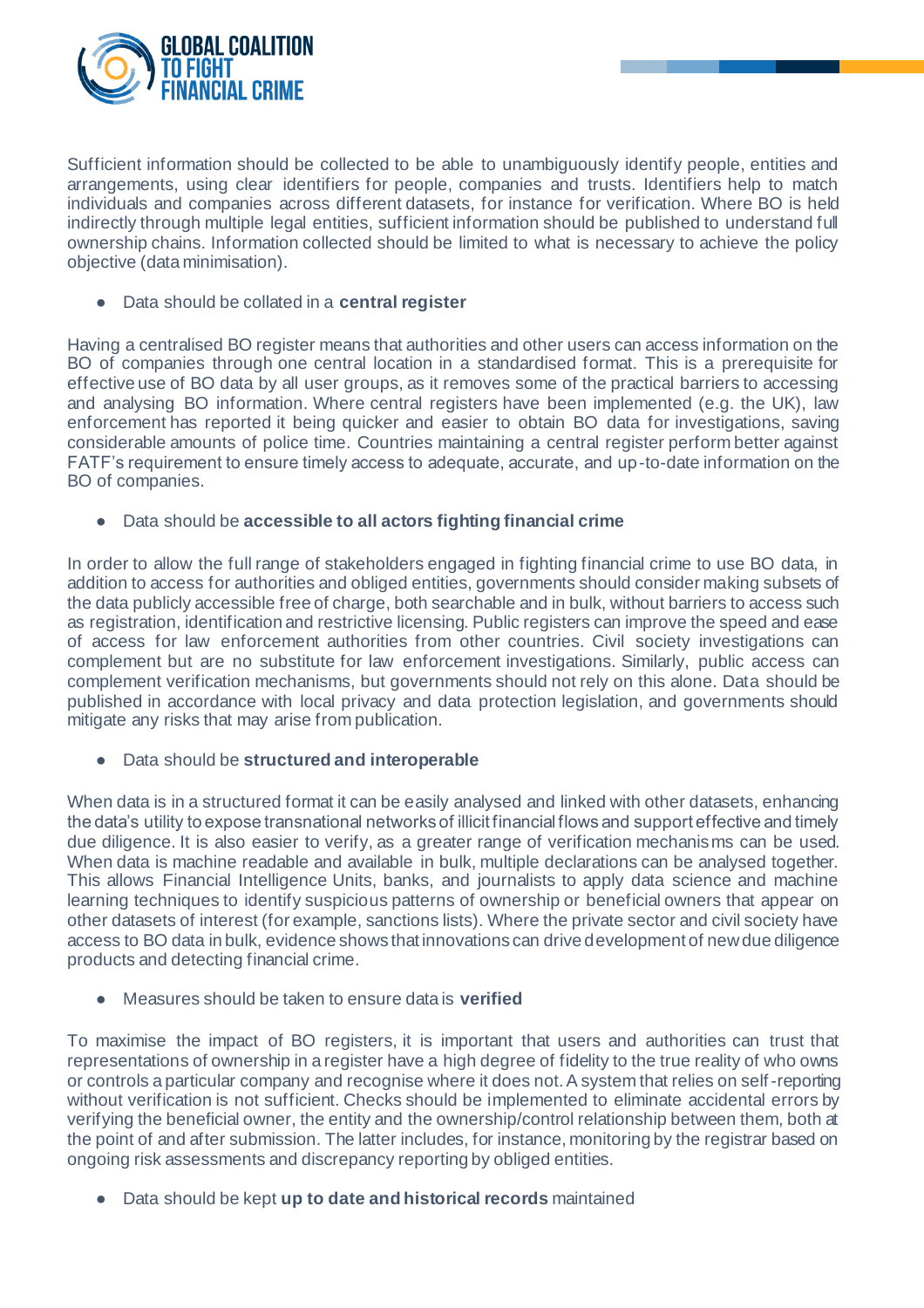

Sufficient information should be collected to be able to unambiguously identify people, entities and arrangements, using clear identifiers for people, companies and trusts. Identifiers help to match individuals and companies across different datasets, for instance for verification. Where BO is held indirectly through multiple legal entities, sufficient information should be published to understand full ownership chains. Information collected should be limited to what is necessary to achieve the policy objective (data minimisation).

● Data should be collated in a **central register**

Having a centralised BO register means that authorities and other users can access information on the BO of companies through one central location in a standardised format. This is a prerequisite for effective use of BO data by all user groups, as it removes some of the practical barriers to accessing and analysing BO information. Where central registers have been implemented (e.g. the UK), law enforcement has reported it being quicker and easier to obtain BO data for investigations, saving considerable amounts of police time. Countries maintaining a central register perform better against FATF's requirement to ensure timely access to adequate, accurate, and up-to-date information on the BO of companies.

● Data should be **accessible to all actors fighting financial crime**

In order to allow the full range of stakeholders engaged in fighting financial crime to use BO data, in addition to access for authorities and obliged entities, governments should consider making subsets of the data publicly accessible free of charge, both searchable and in bulk, without barriers to access such as registration, identification and restrictive licensing. Public registers can improve the speed and ease of access for law enforcement authorities from other countries. Civil society investigations can complement but are no substitute for law enforcement investigations. Similarly, public access can complement verification mechanisms, but governments should not rely on this alone. Data should be published in accordance with local privacy and data protection legislation, and governments should mitigate any risks that may arise from publication.

● Data should be **structured and interoperable**

When data is in a structured format it can be easily analysed and linked with other datasets, enhancing the data's utility to expose transnational networks of illicit financial flows and support effective and timely due diligence. It is also easier to verify, as a greater range of verification mechanisms can be used. When data is machine readable and available in bulk, multiple declarations can be analysed together. This allows Financial Intelligence Units, banks, and journalists to apply data science and machine learning techniques to identify suspicious patterns of ownership or beneficial owners that appear on other datasets of interest (for example, sanctions lists). Where the private sector and civil society have access to BO data in bulk, evidence shows that innovations can drive development of new due diligence products and detecting financial crime.

**Measures should be taken to ensure data is verified** 

To maximise the impact of BO registers, it is important that users and authorities can trust that representations of ownership in a register have a high degree of fidelity to the true reality of who owns or controls a particular company and recognise where it does not. A system that relies on self-reporting without verification is not sufficient. Checks should be implemented to eliminate accidental errors by verifying the beneficial owner, the entity and the ownership/control relationship between them, both at the point of and after submission. The latter includes, for instance, monitoring by the registrar based on ongoing risk assessments and discrepancy reporting by obliged entities.

● Data should be kept **up to date and historical records** maintained